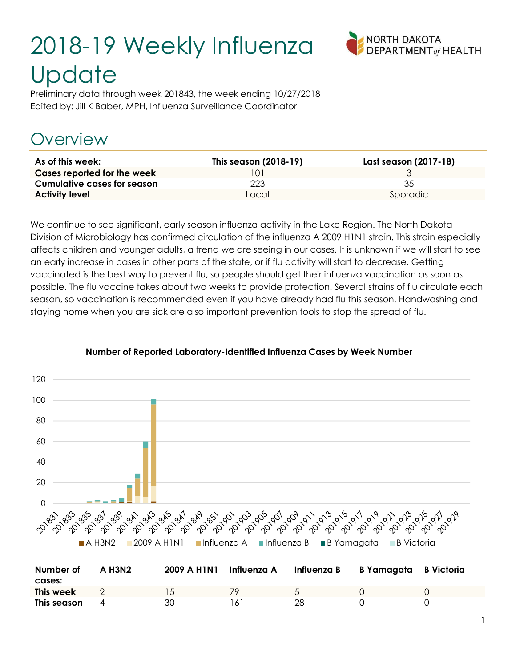# 2018-19 Weekly Influenza **Update**



Preliminary data through week 201843, the week ending 10/27/2018 Edited by: Jill K Baber, MPH, Influenza Surveillance Coordinator

# Overview

| As of this week:                   | This season (2018-19) | Last season (2017-18) |
|------------------------------------|-----------------------|-----------------------|
| Cases reported for the week        | 101                   |                       |
| <b>Cumulative cases for season</b> | 223.                  | 35                    |
| <b>Activity level</b>              | Local                 | Sporadic              |

We continue to see significant, early season influenza activity in the Lake Region. The North Dakota Division of Microbiology has confirmed circulation of the influenza A 2009 H1N1 strain. This strain especially affects children and younger adults, a trend we are seeing in our cases. It is unknown if we will start to see an early increase in cases in other parts of the state, or if flu activity will start to decrease. Getting vaccinated is the best way to prevent flu, so people should get their influenza vaccination as soon as possible. The flu vaccine takes about two weeks to provide protection. Several strains of flu circulate each season, so vaccination is recommended even if you have already had flu this season. Handwashing and staying home when you are sick are also important prevention tools to stop the spread of flu.



#### Number of Reported Laboratory-Identified Influenza Cases by Week Number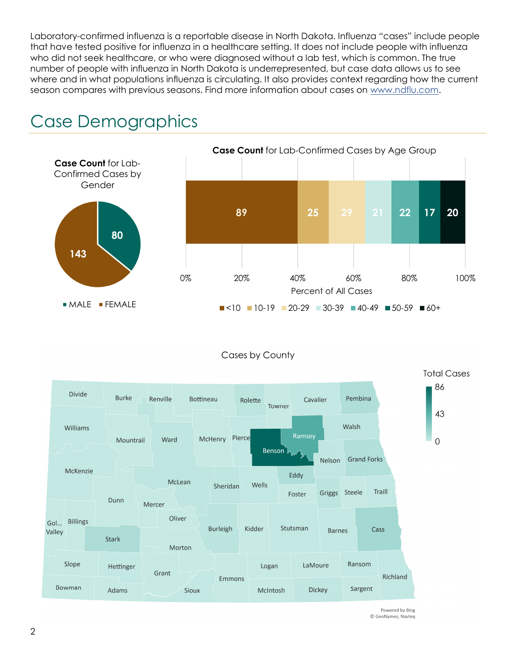Laboratory-confirmed influenza is a reportable disease in North Dakota. Influenza "cases" include people that have tested positive for influenza in a healthcare setting. It does not include people with influenza who did not seek healthcare, or who were diagnosed without a lab test, which is common. The true number of people with influenza in North Dakota is underrepresented, but case data allows us to see where and in what populations influenza is circulating. It also provides context regarding how the current season compares with previous seasons. Find more information about cases on www.ndflu.com.



## Case Demographics

#### Cases by County



Powered by Bing © GeoNames, Navteg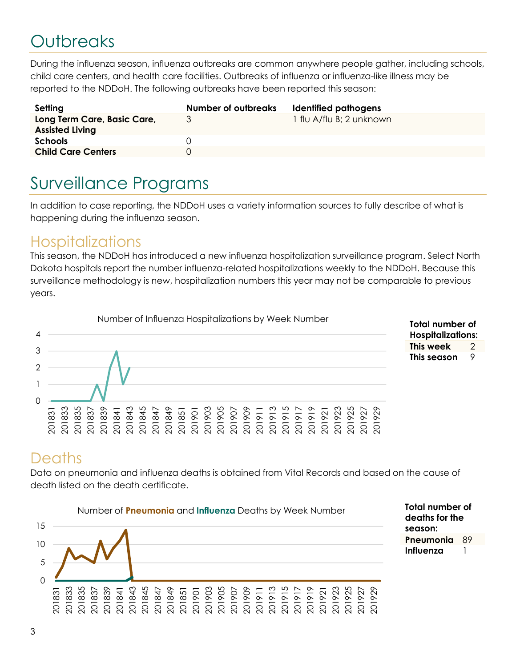# **Outbreaks**

During the influenza season, influenza outbreaks are common anywhere people gather, including schools, child care centers, and health care facilities. Outbreaks of influenza or influenza-like illness may be reported to the NDDoH. The following outbreaks have been reported this season:

| Setting                                               | Number of outbreaks | Identified pathogens     |
|-------------------------------------------------------|---------------------|--------------------------|
| Long Term Care, Basic Care,<br><b>Assisted Living</b> |                     | 1 flu A/flu B; 2 unknown |
| <b>Schools</b>                                        |                     |                          |
| <b>Child Care Centers</b>                             |                     |                          |

# Surveillance Programs

In addition to case reporting, the NDDoH uses a variety information sources to fully describe of what is happening during the influenza season.

#### **Hospitalizations**

This season, the NDDoH has introduced a new influenza hospitalization surveillance program. Select North Dakota hospitals report the number influenza-related hospitalizations weekly to the NDDoH. Because this surveillance methodology is new, hospitalization numbers this year may not be comparable to previous years.



Total number of Hospitalizations: This week 2 This season 9

#### **Deaths**

Data on pneumonia and influenza deaths is obtained from Vital Records and based on the cause of death listed on the death certificate.

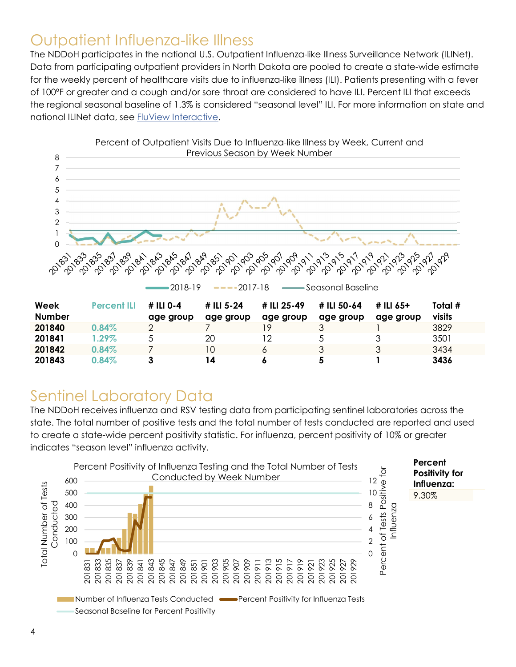### Outpatient Influenza-like Illness

The NDDoH participates in the national U.S. Outpatient Influenza-like Illness Surveillance Network (ILINet). Data from participating outpatient providers in North Dakota are pooled to create a state-wide estimate for the weekly percent of healthcare visits due to influenza-like illness (ILI). Patients presenting with a fever of 100ºF or greater and a cough and/or sore throat are considered to have ILI. Percent ILI that exceeds the regional seasonal baseline of 1.3% is considered "seasonal level" ILI. For more information on state and national ILINet data, see FluView Interactive.



### Sentinel Laboratory Data

The NDDoH receives influenza and RSV testing data from participating sentinel laboratories across the state. The total number of positive tests and the total number of tests conducted are reported and used to create a state-wide percent positivity statistic. For influenza, percent positivity of 10% or greater indicates "season level" influenza activity.

 $201843$   $0.84\%$  3 14 6 5 1 3436

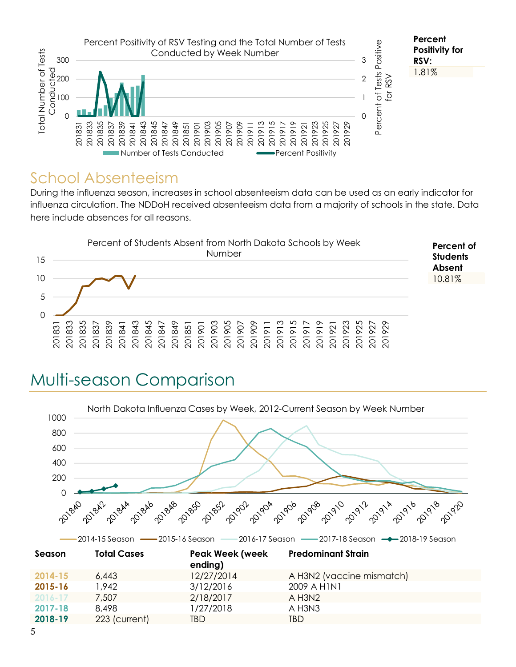

#### School Absenteeism

During the influenza season, increases in school absenteeism data can be used as an early indicator for influenza circulation. The NDDoH received absenteeism data from a majority of schools in the state. Data here include absences for all reasons.



# Multi-season Comparison